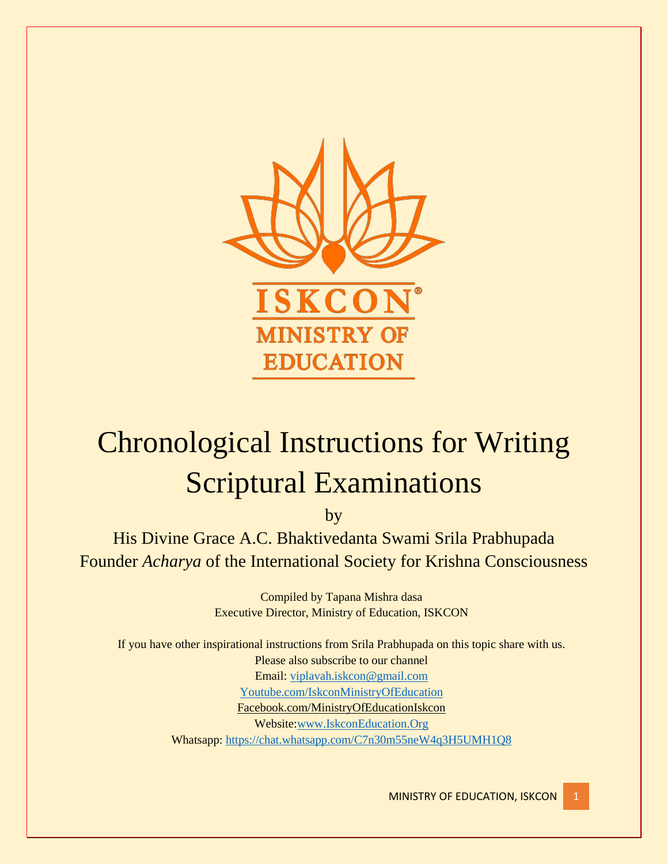

# Chronological Instructions for Writing Scriptural Examinations

by

His Divine Grace A.C. Bhaktivedanta Swami Srila Prabhupada Founder *Acharya* of the International Society for Krishna Consciousness

> Compiled by Tapana Mishra dasa Executive Director, Ministry of Education, ISKCON

If you have other inspirational instructions from Srila Prabhupada on this topic share with us. Please also subscribe to our channel Email: [viplavah.iskcon@gmail.com](mailto:viplavah.iskcon@gmail.com) [Youtube.com/IskconMinistryOfEducation](http://youtube.com/IskconMinistryOfEducation) Facebook.com/MinistryOfEducationIskcon Website[:www.IskconEducation.Org](http://www.iskconeducation.org/) Whatsapp:<https://chat.whatsapp.com/C7n30m55neW4q3H5UMH1Q8>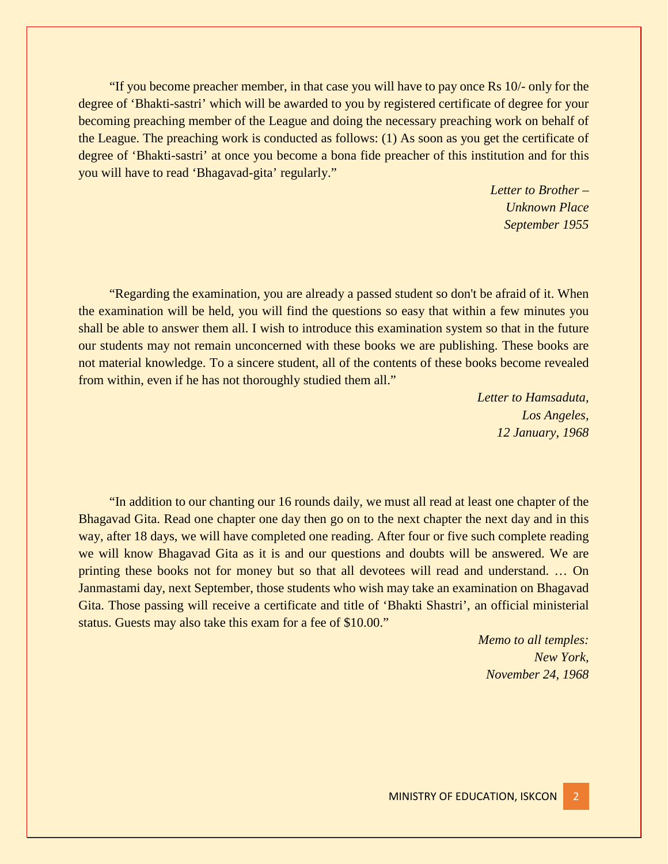"If you become preacher member, in that case you will have to pay once Rs 10/- only for the degree of 'Bhakti-sastri' which will be awarded to you by registered certificate of degree for your becoming preaching member of the League and doing the necessary preaching work on behalf of the League. The preaching work is conducted as follows: (1) As soon as you get the certificate of degree of 'Bhakti-sastri' at once you become a bona fide preacher of this institution and for this you will have to read 'Bhagavad-gita' regularly."

> *Letter to Brother – Unknown Place September 1955*

"Regarding the examination, you are already a passed student so don't be afraid of it. When the examination will be held, you will find the questions so easy that within a few minutes you shall be able to answer them all. I wish to introduce this examination system so that in the future our students may not remain unconcerned with these books we are publishing. These books are not material knowledge. To a sincere student, all of the contents of these books become revealed from within, even if he has not thoroughly studied them all."

> *Letter to Hamsaduta, Los Angeles, 12 January, 1968*

"In addition to our chanting our 16 rounds daily, we must all read at least one chapter of the Bhagavad Gita. Read one chapter one day then go on to the next chapter the next day and in this way, after 18 days, we will have completed one reading. After four or five such complete reading we will know Bhagavad Gita as it is and our questions and doubts will be answered. We are printing these books not for money but so that all devotees will read and understand. … On Janmastami day, next September, those students who wish may take an examination on Bhagavad Gita. Those passing will receive a certificate and title of 'Bhakti Shastri', an official ministerial status. Guests may also take this exam for a fee of \$10.00."

> *Memo to all temples: New York, November 24, 1968*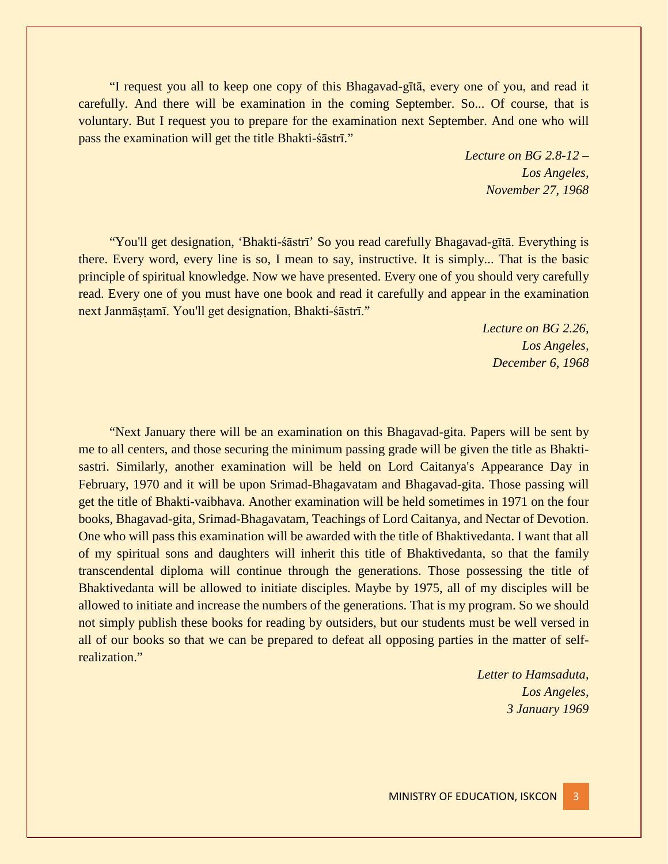"I request you all to keep one copy of this Bhagavad-gītā, every one of you, and read it carefully. And there will be examination in the coming September. So... Of course, that is voluntary. But I request you to prepare for the examination next September. And one who will pass the examination will get the title Bhakti-śāstrī."

> *Lecture on BG 2.8-12 – Los Angeles, November 27, 1968*

"You'll get designation, 'Bhakti-śāstrī' So you read carefully Bhagavad-gītā. Everything is there. Every word, every line is so, I mean to say, instructive. It is simply... That is the basic principle of spiritual knowledge. Now we have presented. Every one of you should very carefully read. Every one of you must have one book and read it carefully and appear in the examination next Janmāṣṭamī. You'll get designation, Bhakti-śāstrī."

> *Lecture on BG 2.26, Los Angeles, December 6, 1968*

"Next January there will be an examination on this Bhagavad-gita. Papers will be sent by me to all centers, and those securing the minimum passing grade will be given the title as Bhaktisastri. Similarly, another examination will be held on Lord Caitanya's Appearance Day in February, 1970 and it will be upon Srimad-Bhagavatam and Bhagavad-gita. Those passing will get the title of Bhakti-vaibhava. Another examination will be held sometimes in 1971 on the four books, Bhagavad-gita, Srimad-Bhagavatam, Teachings of Lord Caitanya, and Nectar of Devotion. One who will pass this examination will be awarded with the title of Bhaktivedanta. I want that all of my spiritual sons and daughters will inherit this title of Bhaktivedanta, so that the family transcendental diploma will continue through the generations. Those possessing the title of Bhaktivedanta will be allowed to initiate disciples. Maybe by 1975, all of my disciples will be allowed to initiate and increase the numbers of the generations. That is my program. So we should not simply publish these books for reading by outsiders, but our students must be well versed in all of our books so that we can be prepared to defeat all opposing parties in the matter of selfrealization."

> *Letter to Hamsaduta, Los Angeles, 3 January 1969*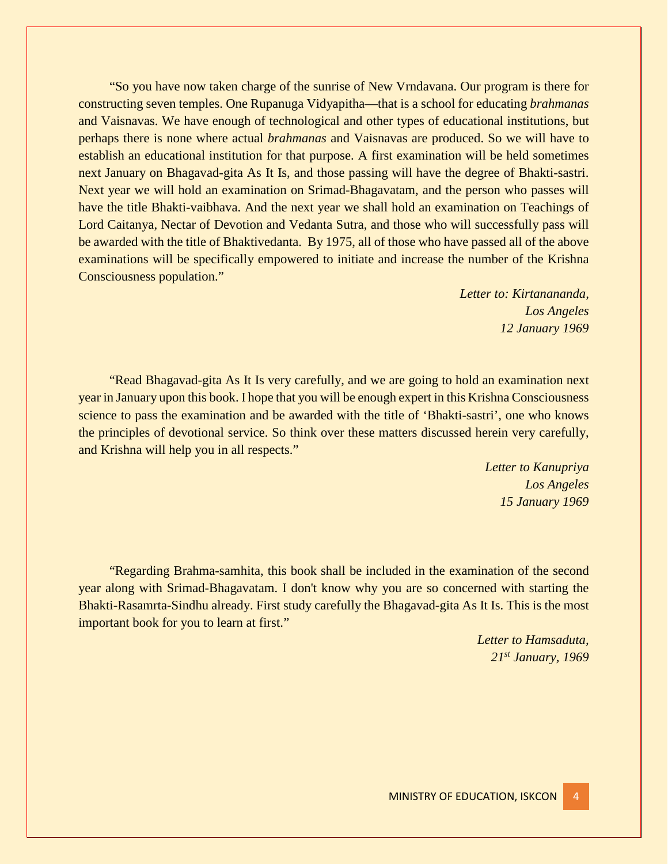"So you have now taken charge of the sunrise of New Vrndavana. Our program is there for constructing seven temples. One Rupanuga Vidyapitha—that is a school for educating *brahmanas* and Vaisnavas. We have enough of technological and other types of educational institutions, but perhaps there is none where actual *brahmanas* and Vaisnavas are produced. So we will have to establish an educational institution for that purpose. A first examination will be held sometimes next January on Bhagavad-gita As It Is, and those passing will have the degree of Bhakti-sastri. Next year we will hold an examination on Srimad-Bhagavatam, and the person who passes will have the title Bhakti-vaibhava. And the next year we shall hold an examination on Teachings of Lord Caitanya, Nectar of Devotion and Vedanta Sutra, and those who will successfully pass will be awarded with the title of Bhaktivedanta. By 1975, all of those who have passed all of the above examinations will be specifically empowered to initiate and increase the number of the Krishna Consciousness population."

> *Letter to: Kirtanananda, Los Angeles 12 January 1969*

"Read Bhagavad-gita As It Is very carefully, and we are going to hold an examination next year in January upon this book. I hope that you will be enough expert in this Krishna Consciousness science to pass the examination and be awarded with the title of 'Bhakti-sastri', one who knows the principles of devotional service. So think over these matters discussed herein very carefully, and Krishna will help you in all respects."

> *Letter to Kanupriya Los Angeles 15 January 1969*

"Regarding Brahma-samhita, this book shall be included in the examination of the second year along with Srimad-Bhagavatam. I don't know why you are so concerned with starting the Bhakti-Rasamrta-Sindhu already. First study carefully the Bhagavad-gita As It Is. This is the most important book for you to learn at first."

> *Letter to Hamsaduta, 21st January, 1969*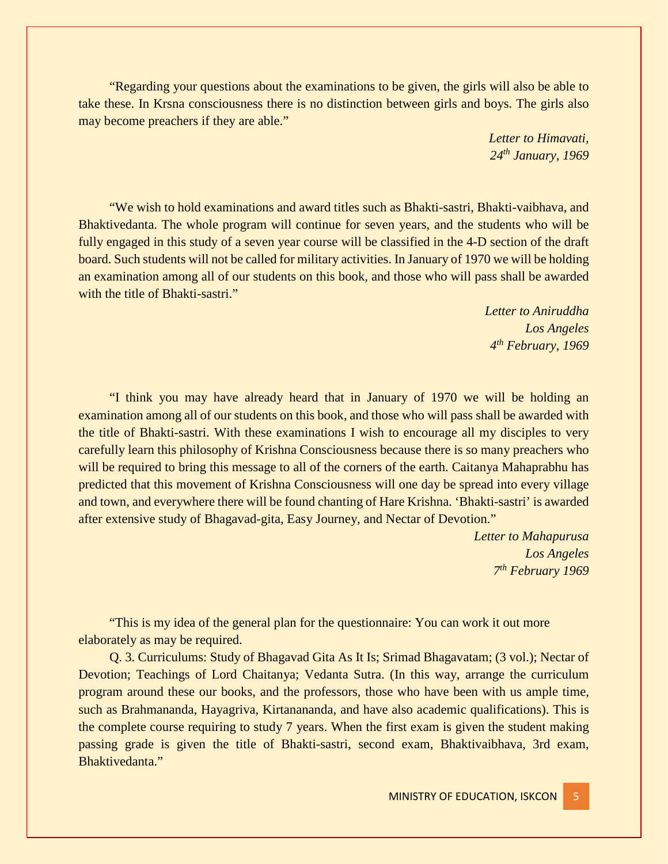"Regarding your questions about the examinations to be given, the girls will also be able to take these. In Krsna consciousness there is no distinction between girls and boys. The girls also may become preachers if they are able."

> *Letter to Himavati, 24th January, 1969*

"We wish to hold examinations and award titles such as Bhakti-sastri, Bhakti-vaibhava, and Bhaktivedanta. The whole program will continue for seven years, and the students who will be fully engaged in this study of a seven year course will be classified in the 4-D section of the draft board. Such students will not be called for military activities. In January of 1970 we will be holding an examination among all of our students on this book, and those who will pass shall be awarded with the title of Bhakti-sastri."

> *Letter to Aniruddha Los Angeles 4th February, 1969*

"I think you may have already heard that in January of 1970 we will be holding an examination among all of our students on this book, and those who will pass shall be awarded with the title of Bhakti-sastri. With these examinations I wish to encourage all my disciples to very carefully learn this philosophy of Krishna Consciousness because there is so many preachers who will be required to bring this message to all of the corners of the earth. Caitanya Mahaprabhu has predicted that this movement of Krishna Consciousness will one day be spread into every village and town, and everywhere there will be found chanting of Hare Krishna. 'Bhakti-sastri' is awarded after extensive study of Bhagavad-gita, Easy Journey, and Nectar of Devotion."

> *Letter to Mahapurusa Los Angeles 7th February 1969*

"This is my idea of the general plan for the questionnaire: You can work it out more elaborately as may be required.

Q. 3. Curriculums: Study of Bhagavad Gita As It Is; Srimad Bhagavatam; (3 vol.); Nectar of Devotion; Teachings of Lord Chaitanya; Vedanta Sutra. (In this way, arrange the curriculum program around these our books, and the professors, those who have been with us ample time, such as Brahmananda, Hayagriva, Kirtanananda, and have also academic qualifications). This is the complete course requiring to study 7 years. When the first exam is given the student making passing grade is given the title of Bhakti-sastri, second exam, Bhaktivaibhava, 3rd exam, Bhaktivedanta."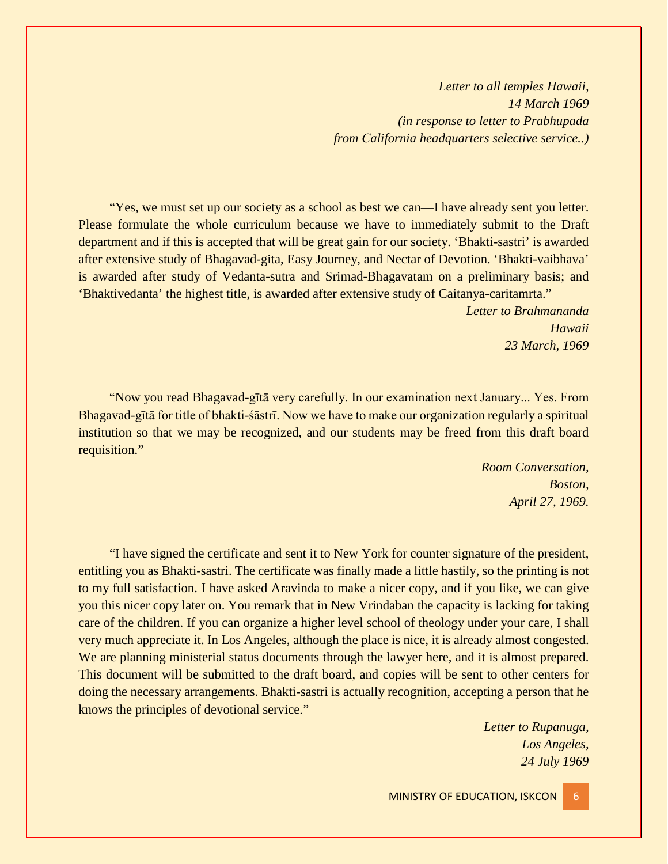*Letter to all temples Hawaii, 14 March 1969 (in response to letter to Prabhupada from Сalifornia headquarters selective service..)*

"Yes, we must set up our society as a school as best we can—I have already sent you letter. Please formulate the whole curriculum because we have to immediately submit to the Draft department and if this is accepted that will be great gain for our society. 'Bhakti-sastri' is awarded after extensive study of Bhagavad-gita, Easy Journey, and Nectar of Devotion. 'Bhakti-vaibhava' is awarded after study of Vedanta-sutra and Srimad-Bhagavatam on a preliminary basis; and 'Bhaktivedanta' the highest title, is awarded after extensive study of Caitanya-caritamrta."

> *Letter to Brahmananda Hawaii 23 March, 1969*

"Now you read Bhagavad-gītā very carefully. In our examination next January... Yes. From Bhagavad-gītā for title of bhakti-śāstrī. Now we have to make our organization regularly a spiritual institution so that we may be recognized, and our students may be freed from this draft board requisition."

> *Room Conversation, Boston, April 27, 1969.*

"I have signed the certificate and sent it to New York for counter signature of the president, entitling you as Bhakti-sastri. The certificate was finally made a little hastily, so the printing is not to my full satisfaction. I have asked Aravinda to make a nicer copy, and if you like, we can give you this nicer copy later on. You remark that in New Vrindaban the capacity is lacking for taking care of the children. If you can organize a higher level school of theology under your care, I shall very much appreciate it. In Los Angeles, although the place is nice, it is already almost congested. We are planning ministerial status documents through the lawyer here, and it is almost prepared. This document will be submitted to the draft board, and copies will be sent to other centers for doing the necessary arrangements. Bhakti-sastri is actually recognition, accepting a person that he knows the principles of devotional service."

> *Letter to Rupanuga, Los Angeles, 24 July 1969*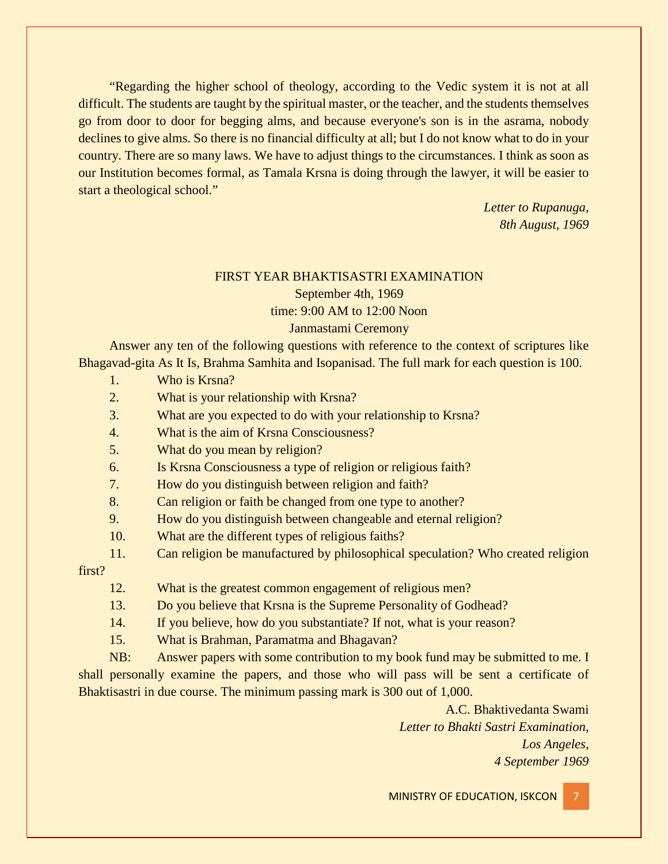"Regarding the higher school of theology, according to the Vedic system it is not at all difficult. The students are taught by the spiritual master, or the teacher, and the students themselves go from door to door for begging alms, and because everyone's son is in the asrama, nobody declines to give alms. So there is no financial difficulty at all; but I do not know what to do in your country. There are so many laws. We have to adjust things to the circumstances. I think as soon as our Institution becomes formal, as Tamala Krsna is doing through the lawyer, it will be easier to start a theological school."

> *Letter to Rupanuga, 8th August, 1969*

# FIRST YEAR BHAKTISASTRI EXAMINATION

September 4th, 1969

# time: 9:00 AM to 12:00 Noon

#### Janmastami Ceremony

Answer any ten of the following questions with reference to the context of scriptures like Bhagavad-gita As It Is, Brahma Samhita and Isopanisad. The full mark for each question is 100.

- 1. Who is Krsna?
- 2. What is your relationship with Krsna?
- 3. What are you expected to do with your relationship to Krsna?
- 4. What is the aim of Krsna Consciousness?
- 5. What do you mean by religion?
- 6. Is Krsna Consciousness a type of religion or religious faith?
- 7. How do you distinguish between religion and faith?
- 8. Can religion or faith be changed from one type to another?
- 9. How do you distinguish between changeable and eternal religion?
- 10. What are the different types of religious faiths?
- 11. Can religion be manufactured by philosophical speculation? Who created religion

first?

- 12. What is the greatest common engagement of religious men?
- 13. Do you believe that Krsna is the Supreme Personality of Godhead?
- 14. If you believe, how do you substantiate? If not, what is your reason?
- 15. What is Brahman, Paramatma and Bhagavan?

NB: Answer papers with some contribution to my book fund may be submitted to me. I shall personally examine the papers, and those who will pass will be sent a certificate of Bhaktisastri in due course. The minimum passing mark is 300 out of 1,000.

> A.C. Bhaktivedanta Swami *Letter to Bhakti Sastri Examination, Los Angeles, 4 September 1969*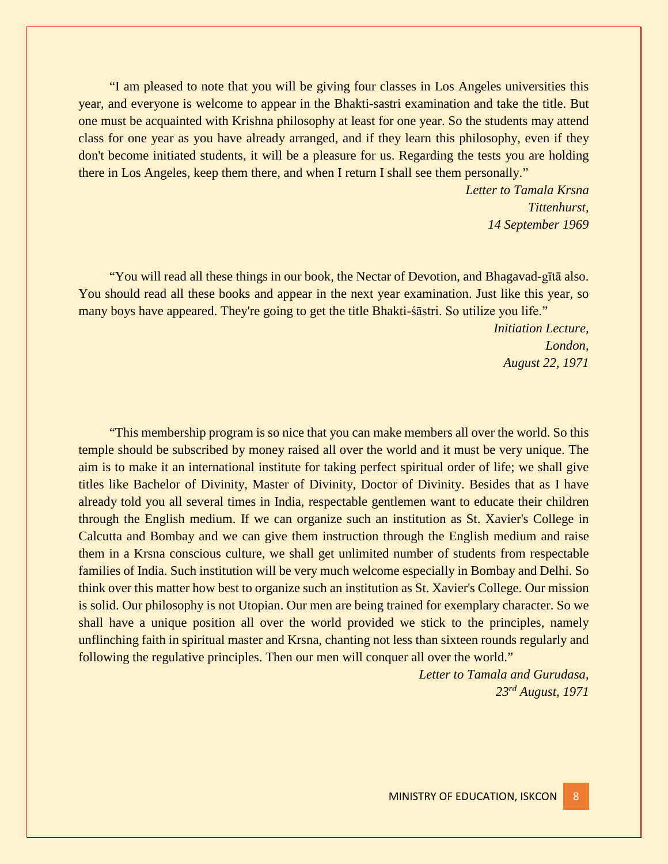"I am pleased to note that you will be giving four classes in Los Angeles universities this year, and everyone is welcome to appear in the Bhakti-sastri examination and take the title. But one must be acquainted with Krishna philosophy at least for one year. So the students may attend class for one year as you have already arranged, and if they learn this philosophy, even if they don't become initiated students, it will be a pleasure for us. Regarding the tests you are holding there in Los Angeles, keep them there, and when I return I shall see them personally."

> *Letter to Tamala Krsna Tittenhurst, 14 September 1969*

"You will read all these things in our book, the Nectar of Devotion, and Bhagavad-gītā also. You should read all these books and appear in the next year examination. Just like this year, so many boys have appeared. They're going to get the title Bhakti-śāstri. So utilize you life."

> *Initiation Lecture, London, August 22, 1971*

"This membership program is so nice that you can make members all over the world. So this temple should be subscribed by money raised all over the world and it must be very unique. The aim is to make it an international institute for taking perfect spiritual order of life; we shall give titles like Bachelor of Divinity, Master of Divinity, Doctor of Divinity. Besides that as I have already told you all several times in India, respectable gentlemen want to educate their children through the English medium. If we can organize such an institution as St. Xavier's College in Calcutta and Bombay and we can give them instruction through the English medium and raise them in a Krsna conscious culture, we shall get unlimited number of students from respectable families of India. Such institution will be very much welcome especially in Bombay and Delhi. So think over this matter how best to organize such an institution as St. Xavier's College. Our mission is solid. Our philosophy is not Utopian. Our men are being trained for exemplary character. So we shall have a unique position all over the world provided we stick to the principles, namely unflinching faith in spiritual master and Krsna, chanting not less than sixteen rounds regularly and following the regulative principles. Then our men will conquer all over the world."

> *Letter to Tamala and Gurudasa, 23rd August, 1971*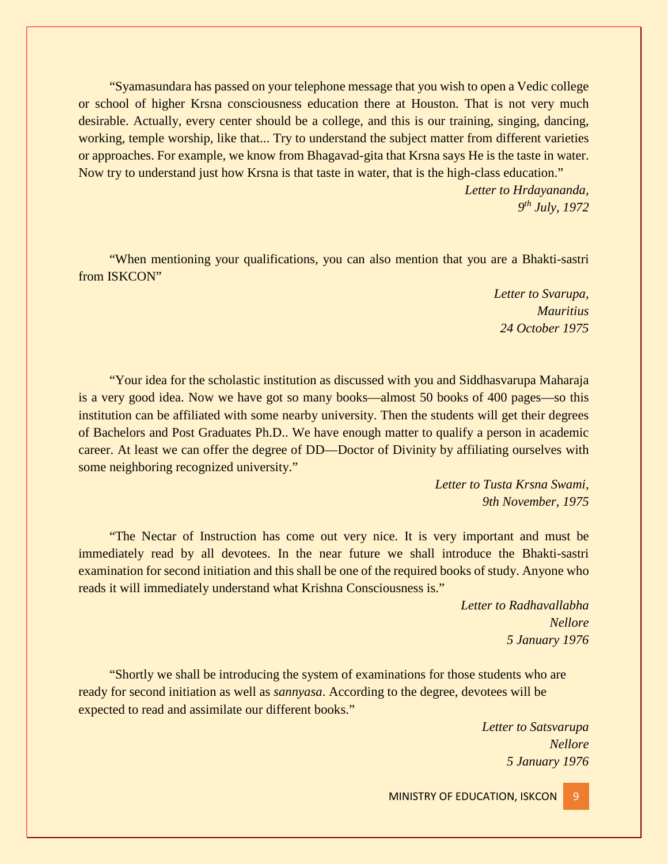"Syamasundara has passed on your telephone message that you wish to open a Vedic college or school of higher Krsna consciousness education there at Houston. That is not very much desirable. Actually, every center should be a college, and this is our training, singing, dancing, working, temple worship, like that... Try to understand the subject matter from different varieties or approaches. For example, we know from Bhagavad-gita that Krsna says He is the taste in water. Now try to understand just how Krsna is that taste in water, that is the high-class education."

> *Letter to Hrdayananda, 9th July, 1972*

"When mentioning your qualifications, you can also mention that you are a Bhakti-sastri from **ISKCON**"

> *Letter to Svarupa, Mauritius 24 October 1975*

"Your idea for the scholastic institution as discussed with you and Siddhasvarupa Maharaja is a very good idea. Now we have got so many books—almost 50 books of 400 pages—so this institution can be affiliated with some nearby university. Then the students will get their degrees of Bachelors and Post Graduates Ph.D.. We have enough matter to qualify a person in academic career. At least we can offer the degree of DD—Doctor of Divinity by affiliating ourselves with some neighboring recognized university."

> *Letter to Tusta Krsna Swami, 9th November, 1975*

"The Nectar of Instruction has come out very nice. It is very important and must be immediately read by all devotees. In the near future we shall introduce the Bhakti-sastri examination for second initiation and this shall be one of the required books of study. Anyone who reads it will immediately understand what Krishna Consciousness is."

> *Letter to Radhavallabha Nellore 5 January 1976*

"Shortly we shall be introducing the system of examinations for those students who are ready for second initiation as well as *sannyasa*. According to the degree, devotees will be expected to read and assimilate our different books."

> *Letter to Satsvarupa Nellore 5 January 1976*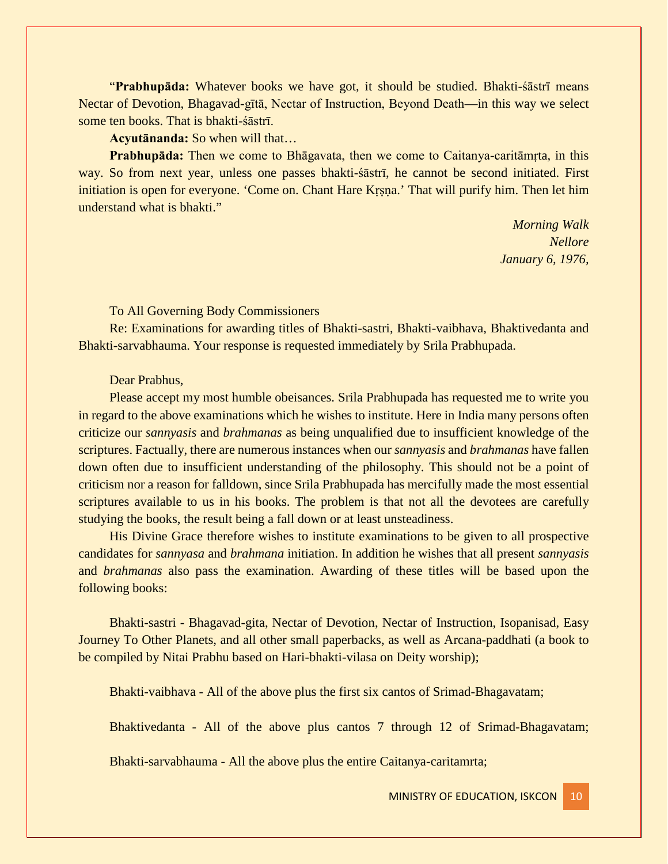"**Prabhupāda:** Whatever books we have got, it should be studied. Bhakti-śāstrī means Nectar of Devotion, Bhagavad-gītā, Nectar of Instruction, Beyond Death—in this way we select some ten books. That is bhakti-śāstrī.

**Acyutānanda:** So when will that…

**Prabhupāda:** Then we come to Bhāgavata, then we come to Caitanya-caritāmṛta, in this way. So from next year, unless one passes bhakti-śāstrī, he cannot be second initiated. First initiation is open for everyone. 'Come on. Chant Hare Kṛṣṇa.' That will purify him. Then let him understand what is bhakti."

> *Morning Walk Nellore January 6, 1976,*

### To All Governing Body Commissioners

Re: Examinations for awarding titles of Bhakti-sastri, Bhakti-vaibhava, Bhaktivedanta and Bhakti-sarvabhauma. Your response is requested immediately by Srila Prabhupada.

## Dear Prabhus,

Please accept my most humble obeisances. Srila Prabhupada has requested me to write you in regard to the above examinations which he wishes to institute. Here in India many persons often criticize our *sannyasis* and *brahmanas* as being unqualified due to insufficient knowledge of the scriptures. Factually, there are numerous instances when our *sannyasis* and *brahmanas* have fallen down often due to insufficient understanding of the philosophy. This should not be a point of criticism nor a reason for falldown, since Srila Prabhupada has mercifully made the most essential scriptures available to us in his books. The problem is that not all the devotees are carefully studying the books, the result being a fall down or at least unsteadiness.

His Divine Grace therefore wishes to institute examinations to be given to all prospective candidates for *sannyasa* and *brahmana* initiation. In addition he wishes that all present *sannyasis* and *brahmanas* also pass the examination. Awarding of these titles will be based upon the following books:

Bhakti-sastri - Bhagavad-gita, Nectar of Devotion, Nectar of Instruction, Isopanisad, Easy Journey To Other Planets, and all other small paperbacks, as well as Arcana-paddhati (a book to be compiled by Nitai Prabhu based on Hari-bhakti-vilasa on Deity worship);

Bhakti-vaibhava - All of the above plus the first six cantos of Srimad-Bhagavatam;

Bhaktivedanta - All of the above plus cantos 7 through 12 of Srimad-Bhagavatam;

Bhakti-sarvabhauma - All the above plus the entire Caitanya-caritamrta;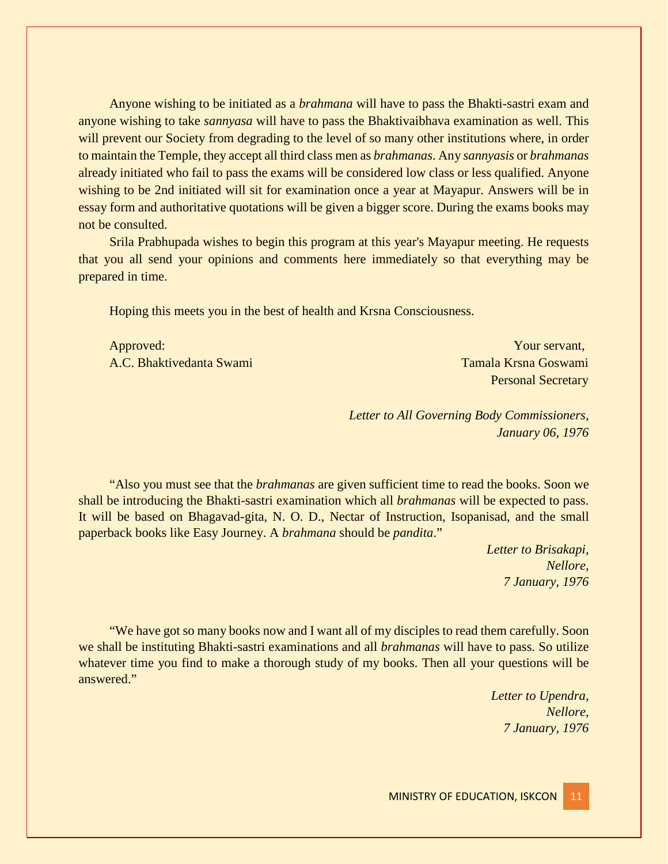Anyone wishing to be initiated as a *brahmana* will have to pass the Bhakti-sastri exam and anyone wishing to take *sannyasa* will have to pass the Bhaktivaibhava examination as well. This will prevent our Society from degrading to the level of so many other institutions where, in order to maintain the Temple, they accept all third class men as *brahmanas*. Any *sannyasis* or *brahmanas* already initiated who fail to pass the exams will be considered low class or less qualified. Anyone wishing to be 2nd initiated will sit for examination once a year at Mayapur. Answers will be in essay form and authoritative quotations will be given a bigger score. During the exams books may not be consulted.

Srila Prabhupada wishes to begin this program at this year's Mayapur meeting. He requests that you all send your opinions and comments here immediately so that everything may be prepared in time.

Hoping this meets you in the best of health and Krsna Consciousness.

Approved: Your servant, A.C. Bhaktivedanta Swami Tamala Krsna Goswami

Personal Secretary

*Letter to All Governing Body Commissioners, January 06, 1976*

"Also you must see that the *brahmanas* are given sufficient time to read the books. Soon we shall be introducing the Bhakti-sastri examination which all *brahmanas* will be expected to pass. It will be based on Bhagavad-gita, N. O. D., Nectar of Instruction, Isopanisad, and the small paperback books like Easy Journey. A *brahmana* should be *pandita*."

> *Letter to Brisakapi, Nellore, 7 January, 1976*

"We have got so many books now and I want all of my disciples to read them carefully. Soon we shall be instituting Bhakti-sastri examinations and all *brahmanas* will have to pass. So utilize whatever time you find to make a thorough study of my books. Then all your questions will be answered."

> *Letter to Upendra, Nellore, 7 January, 1976*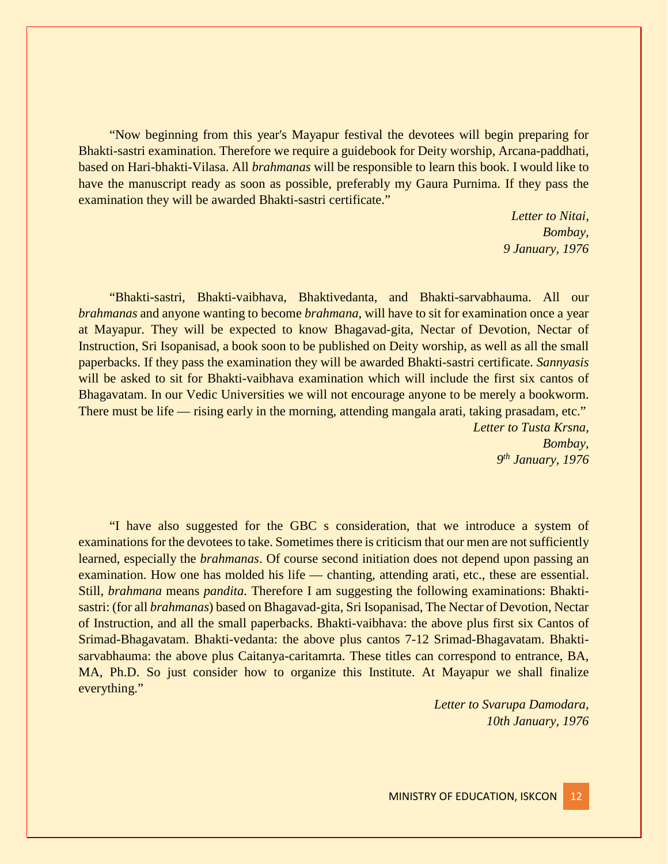"Now beginning from this year's Mayapur festival the devotees will begin preparing for Bhakti-sastri examination. Therefore we require a guidebook for Deity worship, Arcana-paddhati, based on Hari-bhakti-Vilasa. All *brahmanas* will be responsible to learn this book. I would like to have the manuscript ready as soon as possible, preferably my Gaura Purnima. If they pass the examination they will be awarded Bhakti-sastri certificate."

> *Letter to Nitai, Bombay, 9 January, 1976*

"Bhakti-sastri, Bhakti-vaibhava, Bhaktivedanta, and Bhakti-sarvabhauma. All our *brahmanas* and anyone wanting to become *brahmana*, will have to sit for examination once a year at Mayapur. They will be expected to know Bhagavad-gita, Nectar of Devotion, Nectar of Instruction, Sri Isopanisad, a book soon to be published on Deity worship, as well as all the small paperbacks. If they pass the examination they will be awarded Bhakti-sastri certificate. *Sannyasis* will be asked to sit for Bhakti-vaibhava examination which will include the first six cantos of Bhagavatam. In our Vedic Universities we will not encourage anyone to be merely a bookworm. There must be life — rising early in the morning, attending mangala arati, taking prasadam, etc." *Letter to Tusta Krsna,*

*Bombay, 9th January, 1976*

"I have also suggested for the GBC s consideration, that we introduce a system of examinations for the devotees to take. Sometimes there is criticism that our men are not sufficiently learned, especially the *brahmanas*. Of course second initiation does not depend upon passing an examination. How one has molded his life — chanting, attending arati, etc., these are essential. Still, *brahmana* means *pandita*. Therefore I am suggesting the following examinations: Bhaktisastri: (for all *brahmanas*) based on Bhagavad-gita, Sri Isopanisad, The Nectar of Devotion, Nectar of Instruction, and all the small paperbacks. Bhakti-vaibhava: the above plus first six Cantos of Srimad-Bhagavatam. Bhakti-vedanta: the above plus cantos 7-12 Srimad-Bhagavatam. Bhaktisarvabhauma: the above plus Caitanya-caritamrta. These titles can correspond to entrance, BA, MA, Ph.D. So just consider how to organize this Institute. At Mayapur we shall finalize everything."

> *Letter to Svarupa Damodara, 10th January, 1976*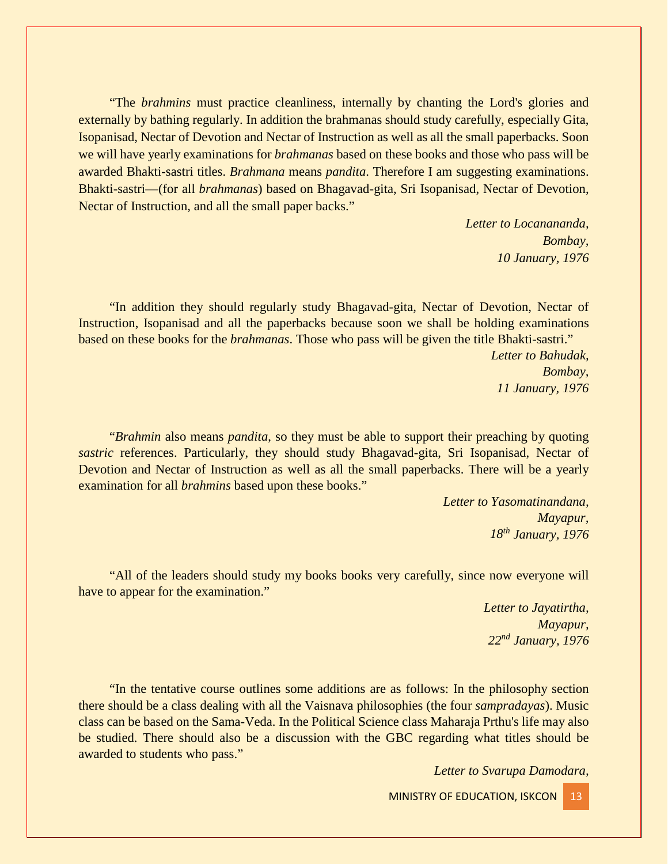"The *brahmins* must practice cleanliness, internally by chanting the Lord's glories and externally by bathing regularly. In addition the brahmanas should study carefully, especially Gita, Isopanisad, Nectar of Devotion and Nectar of Instruction as well as all the small paperbacks. Soon we will have yearly examinations for *brahmanas* based on these books and those who pass will be awarded Bhakti-sastri titles. *Brahmana* means *pandita*. Therefore I am suggesting examinations. Bhakti-sastri—(for all *brahmanas*) based on Bhagavad-gita, Sri Isopanisad, Nectar of Devotion, Nectar of Instruction, and all the small paper backs."

> *Letter to Locanananda, Bombay, 10 January, 1976*

"In addition they should regularly study Bhagavad-gita, Nectar of Devotion, Nectar of Instruction, Isopanisad and all the paperbacks because soon we shall be holding examinations based on these books for the *brahmanas*. Those who pass will be given the title Bhakti-sastri."

> *Letter to Bahudak, Bombay, 11 January, 1976*

"*Brahmin* also means *pandita*, so they must be able to support their preaching by quoting *sastric* references. Particularly, they should study Bhagavad-gita, Sri Isopanisad, Nectar of Devotion and Nectar of Instruction as well as all the small paperbacks. There will be a yearly examination for all *brahmins* based upon these books."

> *Letter to Yasomatinandana, Mayapur, 18th January, 1976*

"All of the leaders should study my books books very carefully, since now everyone will have to appear for the examination."

> *Letter to Jayatirtha, Mayapur, 22nd January, 1976*

"In the tentative course outlines some additions are as follows: In the philosophy section there should be a class dealing with all the Vaisnava philosophies (the four *sampradayas*). Music class can be based on the Sama-Veda. In the Political Science class Maharaja Prthu's life may also be studied. There should also be a discussion with the GBC regarding what titles should be awarded to students who pass."

*Letter to Svarupa Damodara,*